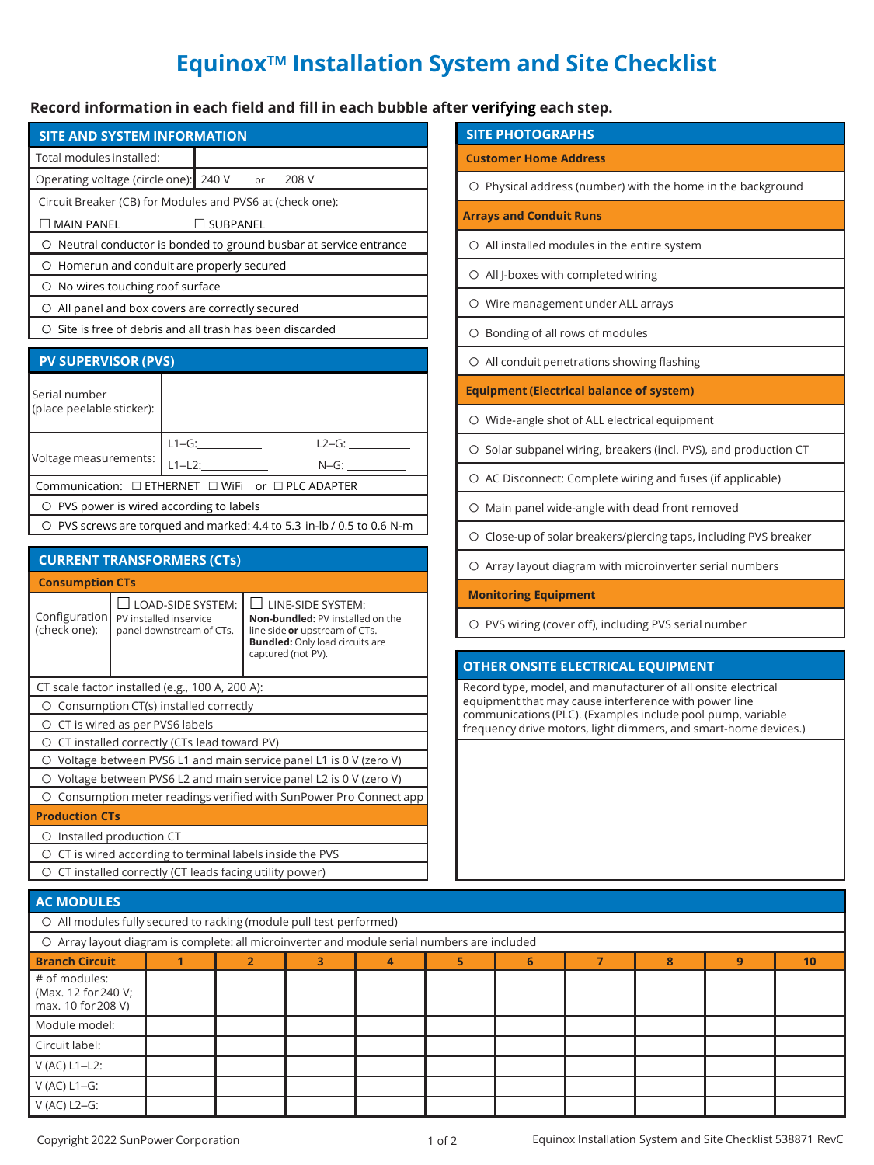## **EquinoxTM Installation System and Site Checklist**

## **Record information in each field and fill in each bubble after verifying each step.**

| <b>SITE AND SYSTEM INFORMATION</b>                                     |           |          |  |  |         |  |  |  |
|------------------------------------------------------------------------|-----------|----------|--|--|---------|--|--|--|
| Total modules installed:                                               |           |          |  |  |         |  |  |  |
| Operating voltage (circle one): 240 V or                               |           |          |  |  | 208 V   |  |  |  |
| Circuit Breaker (CB) for Modules and PVS6 at (check one):              |           |          |  |  |         |  |  |  |
| MAIN PANEL<br>$\Box$ SUBPANEL                                          |           |          |  |  |         |  |  |  |
| O Neutral conductor is bonded to ground busbar at service entrance     |           |          |  |  |         |  |  |  |
| O Homerun and conduit are properly secured                             |           |          |  |  |         |  |  |  |
| O No wires touching roof surface                                       |           |          |  |  |         |  |  |  |
| O All panel and box covers are correctly secured                       |           |          |  |  |         |  |  |  |
| O Site is free of debris and all trash has been discarded              |           |          |  |  |         |  |  |  |
| <b>PV SUPERVISOR (PVS)</b>                                             |           |          |  |  |         |  |  |  |
| Serial number<br>(place peelable sticker):                             |           |          |  |  |         |  |  |  |
|                                                                        |           | $L1-G$ : |  |  | $L2-G:$ |  |  |  |
| Voltage measurements:                                                  | $L1-L2$ : |          |  |  | N-G:    |  |  |  |
| Communication: □ ETHERNET □ WiFi or □ PLC ADAPTER                      |           |          |  |  |         |  |  |  |
| O PVS power is wired according to labels                               |           |          |  |  |         |  |  |  |
| O PVS screws are torqued and marked: 4.4 to 5.3 in-lb / 0.5 to 0.6 N-m |           |          |  |  |         |  |  |  |

| <b>CURRENT TRANSFORMERS (CTs)</b>                                      |                                                                                |                                                                                                                                                               |  |  |  |  |
|------------------------------------------------------------------------|--------------------------------------------------------------------------------|---------------------------------------------------------------------------------------------------------------------------------------------------------------|--|--|--|--|
| <b>Consumption CTs</b>                                                 |                                                                                |                                                                                                                                                               |  |  |  |  |
| Configuration<br>(check one):                                          | $\Box$ load-side system:<br>PV installed inservice<br>panel downstream of CTs. | $\Box$ LINE-SIDE SYSTEM:<br>Non-bundled: PV installed on the<br>line side or upstream of CTs.<br><b>Bundled: Only load circuits are</b><br>captured (not PV). |  |  |  |  |
| CT scale factor installed (e.g., 100 A, 200 A):                        |                                                                                |                                                                                                                                                               |  |  |  |  |
| Consumption CT(s) installed correctly<br>O                             |                                                                                |                                                                                                                                                               |  |  |  |  |
| O CT is wired as per PVS6 labels                                       |                                                                                |                                                                                                                                                               |  |  |  |  |
| CT installed correctly (CTs lead toward PV)<br>O                       |                                                                                |                                                                                                                                                               |  |  |  |  |
| O Voltage between PVS6 L1 and main service panel L1 is 0 V (zero V)    |                                                                                |                                                                                                                                                               |  |  |  |  |
| O Voltage between PVS6 L2 and main service panel L2 is 0 V (zero V)    |                                                                                |                                                                                                                                                               |  |  |  |  |
| Consumption meter readings verified with SunPower Pro Connect app<br>∩ |                                                                                |                                                                                                                                                               |  |  |  |  |
| <b>Production CTs</b>                                                  |                                                                                |                                                                                                                                                               |  |  |  |  |
| Installed production CT<br>O                                           |                                                                                |                                                                                                                                                               |  |  |  |  |
| CT is wired according to terminal labels inside the PVS<br>O           |                                                                                |                                                                                                                                                               |  |  |  |  |
| CT installed correctly (CT leads facing utility power)                 |                                                                                |                                                                                                                                                               |  |  |  |  |

| <b>SITE PHOTOGRAPHS</b>                                           |
|-------------------------------------------------------------------|
| <b>Customer Home Address</b>                                      |
| O Physical address (number) with the home in the background       |
| <b>Arrays and Conduit Runs</b>                                    |
| ○ All installed modules in the entire system                      |
| O All J-boxes with completed wiring                               |
| O Wire management under ALL arrays                                |
| O Bonding of all rows of modules                                  |
| O All conduit penetrations showing flashing                       |
| <b>Equipment (Electrical balance of system)</b>                   |
| O Wide-angle shot of ALL electrical equipment                     |
| O Solar subpanel wiring, breakers (incl. PVS), and production CT  |
| O AC Disconnect: Complete wiring and fuses (if applicable)        |
| O Main panel wide-angle with dead front removed                   |
| O Close-up of solar breakers/piercing taps, including PVS breaker |
| O Array layout diagram with microinverter serial numbers          |
| <b>Monitoring Equipment</b>                                       |
| O PVS wiring (cover off), including PVS serial number             |
| <b>OTHER ONSITE ELECTRICAL EQUIPMENT</b>                          |

Record type, model, and manufacturer of all onsite electrical equipment that may cause interference with power line communications (PLC). (Examples include pool pump, variable frequency drive motors, light dimmers, and smart-homedevices.)

| <b>AC MODULES</b>                                                                            |  |  |  |  |  |   |  |   |   |    |
|----------------------------------------------------------------------------------------------|--|--|--|--|--|---|--|---|---|----|
| O All modules fully secured to racking (module pull test performed)                          |  |  |  |  |  |   |  |   |   |    |
| O Array layout diagram is complete: all microinverter and module serial numbers are included |  |  |  |  |  |   |  |   |   |    |
| <b>Branch Circuit</b>                                                                        |  |  |  |  |  | 6 |  | 8 | 9 | 10 |
| # of modules:<br>(Max. 12 for 240 V;<br>max. 10 for 208 V)                                   |  |  |  |  |  |   |  |   |   |    |
| Module model:                                                                                |  |  |  |  |  |   |  |   |   |    |
| Circuit label:                                                                               |  |  |  |  |  |   |  |   |   |    |
| $V(AC) L1-L2$ :                                                                              |  |  |  |  |  |   |  |   |   |    |
| V (AC) L1-G:                                                                                 |  |  |  |  |  |   |  |   |   |    |
| $V$ (AC) L2-G:                                                                               |  |  |  |  |  |   |  |   |   |    |